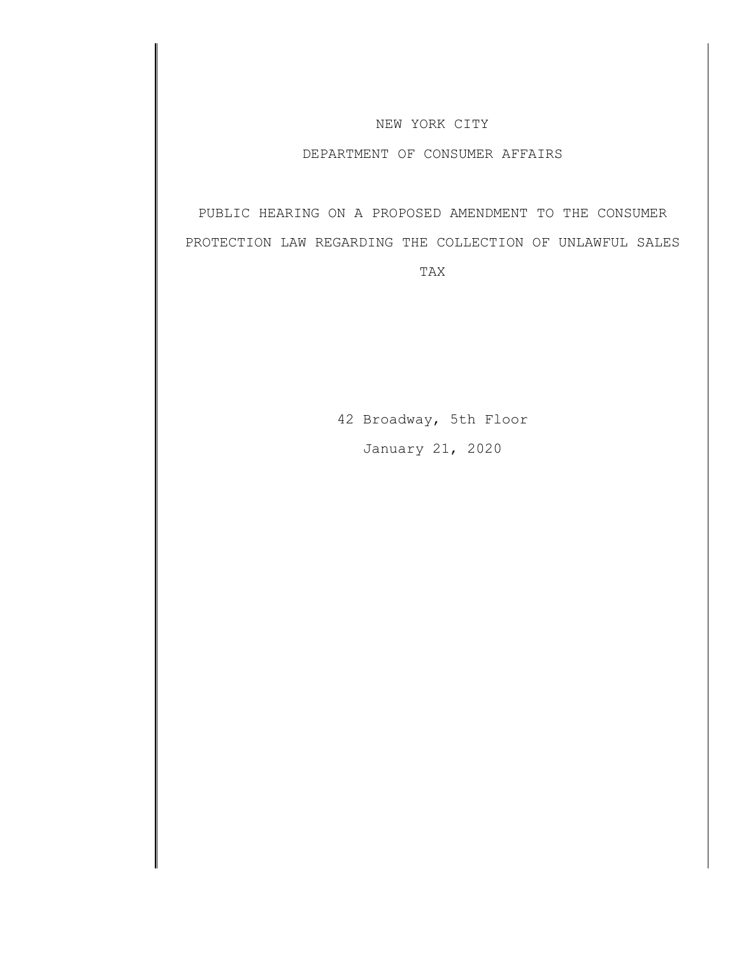## NEW YORK CITY

# DEPARTMENT OF CONSUMER AFFAIRS

PUBLIC HEARING ON A PROPOSED AMENDMENT TO THE CONSUMER PROTECTION LAW REGARDING THE COLLECTION OF UNLAWFUL SALES

TAX

42 Broadway, 5th Floor January 21, 2020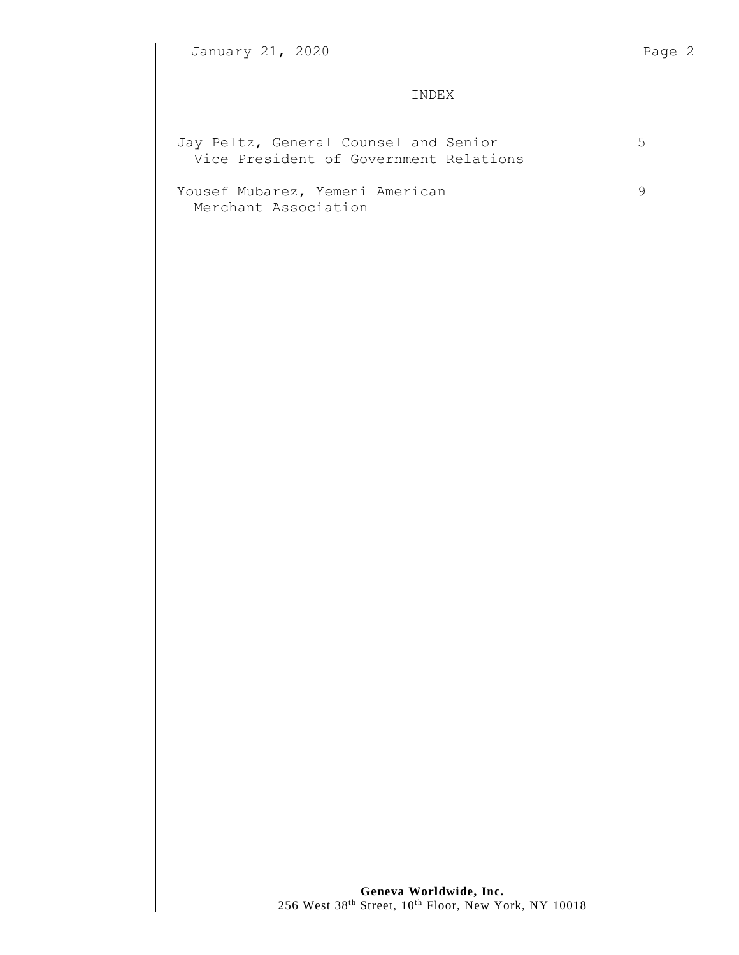## INDEX

| Jay Peltz, General Counsel and Senior<br>Vice President of Government Relations | 5 |
|---------------------------------------------------------------------------------|---|
| Yousef Mubarez, Yemeni American<br>Merchant Association                         |   |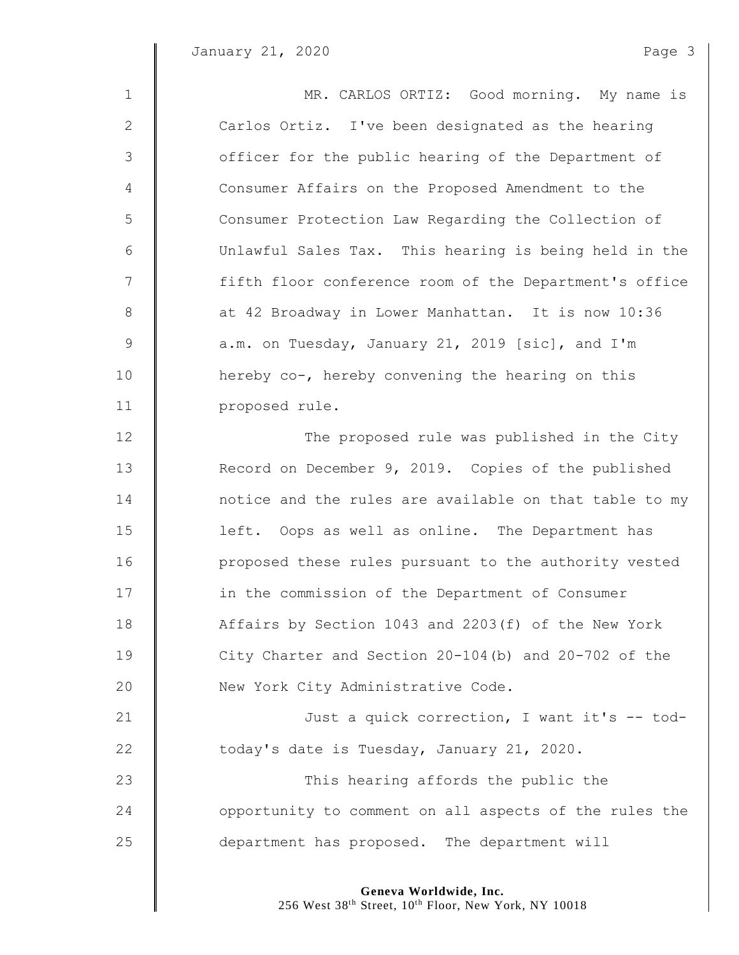$\mathbb I$ 

| $\mathbf 1$    | MR. CARLOS ORTIZ: Good morning. My name is             |
|----------------|--------------------------------------------------------|
| $\mathbf{2}$   | Carlos Ortiz. I've been designated as the hearing      |
| $\mathcal{S}$  | officer for the public hearing of the Department of    |
| $\overline{4}$ | Consumer Affairs on the Proposed Amendment to the      |
| 5              | Consumer Protection Law Regarding the Collection of    |
| 6              | Unlawful Sales Tax. This hearing is being held in the  |
| $\overline{7}$ | fifth floor conference room of the Department's office |
| 8              | at 42 Broadway in Lower Manhattan. It is now 10:36     |
| $\overline{9}$ | a.m. on Tuesday, January 21, 2019 [sic], and I'm       |
| 10             | hereby co-, hereby convening the hearing on this       |
| 11             | proposed rule.                                         |
| 12             | The proposed rule was published in the City            |
| 13             | Record on December 9, 2019. Copies of the published    |
| 14             | notice and the rules are available on that table to my |
| 15             | left. Oops as well as online. The Department has       |
| 16             | proposed these rules pursuant to the authority vested  |
| 17             | in the commission of the Department of Consumer        |
| 18             | Affairs by Section 1043 and 2203(f) of the New York    |
| 19             | City Charter and Section 20-104(b) and 20-702 of the   |
| 20             | New York City Administrative Code.                     |
| 21             | Just a quick correction, I want it's -- tod-           |
| 22             | today's date is Tuesday, January 21, 2020.             |
| 23             | This hearing affords the public the                    |
| 24             | opportunity to comment on all aspects of the rules the |
| 25             | department has proposed. The department will           |

**Geneva Worldwide, Inc.**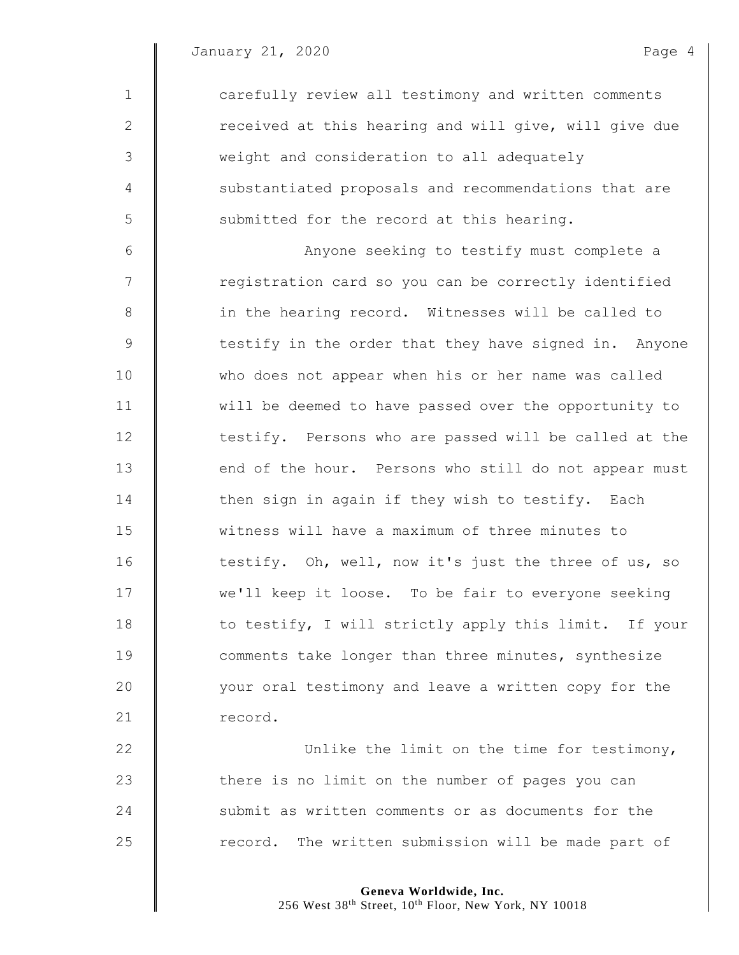1 carefully review all testimony and written comments 2 | received at this hearing and will give, will give due 3 weight and consideration to all adequately 4 Substantiated proposals and recommendations that are  $5 \parallel$  submitted for the record at this hearing. 6 Anyone seeking to testify must complete a 7 | registration card so you can be correctly identified 8 || in the hearing record. Witnesses will be called to 9 | testify in the order that they have signed in. Anyone 10 who does not appear when his or her name was called 11 | will be deemed to have passed over the opportunity to 12 **testify.** Persons who are passed will be called at the 13 end of the hour. Persons who still do not appear must 14 then sign in again if they wish to testify. Each 15 witness will have a maximum of three minutes to 16 testify. Oh, well, now it's just the three of us, so 17 We'll keep it loose. To be fair to everyone seeking 18 to testify, I will strictly apply this limit. If your 19 **comments take longer than three minutes, synthesize** 20 | vour oral testimony and leave a written copy for the 21 record. 22 **Unlike the limit on the time for testimony**, 23 there is no limit on the number of pages you can

25 | record. The written submission will be made part of

24 Submit as written comments or as documents for the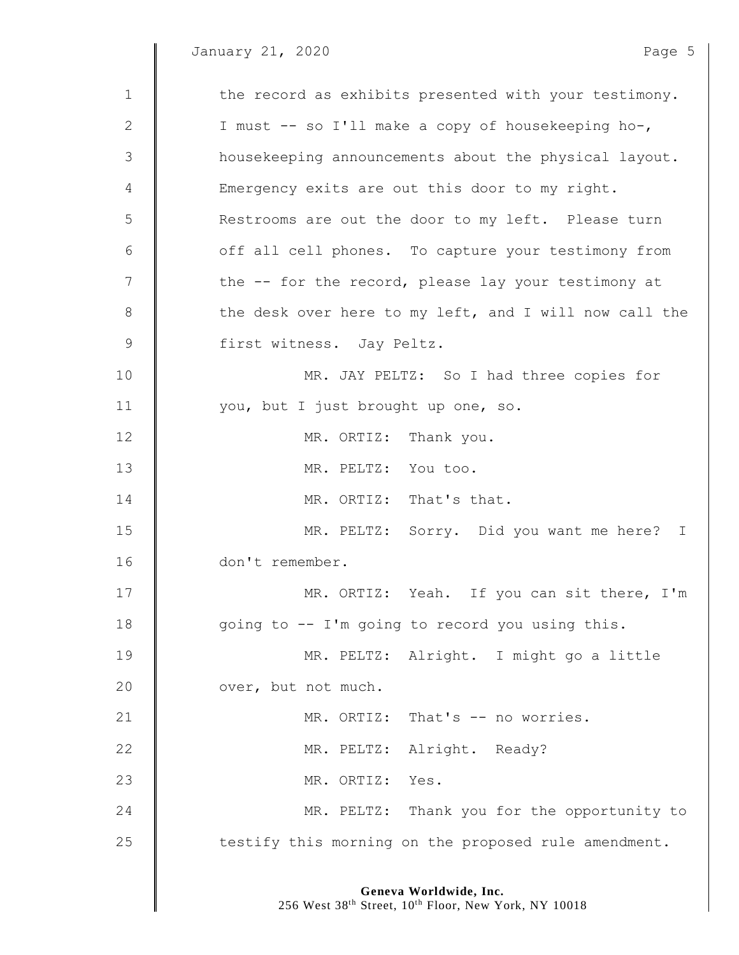January 21, 2020 and the state of the Page 5

 $\parallel$ 

| $\mathbf 1$  | the record as exhibits presented with your testimony.  |
|--------------|--------------------------------------------------------|
| $\mathbf{2}$ | I must -- so I'll make a copy of housekeeping ho-,     |
| 3            | housekeeping announcements about the physical layout.  |
| 4            | Emergency exits are out this door to my right.         |
| 5            | Restrooms are out the door to my left. Please turn     |
| 6            | off all cell phones. To capture your testimony from    |
| 7            | the -- for the record, please lay your testimony at    |
| 8            | the desk over here to my left, and I will now call the |
| $\mathsf 9$  | first witness. Jay Peltz.                              |
| 10           | MR. JAY PELTZ: So I had three copies for               |
| 11           | you, but I just brought up one, so.                    |
| 12           | MR. ORTIZ: Thank you.                                  |
| 13           | MR. PELTZ: You too.                                    |
| 14           | MR. ORTIZ: That's that.                                |
| 15           | MR. PELTZ: Sorry. Did you want me here? I              |
| 16           | don't remember.                                        |
| 17           | MR. ORTIZ: Yeah. If you can sit there, I'm             |
| 18           | going to -- I'm going to record you using this.        |
| 19           | MR. PELTZ: Alright. I might go a little                |
| 20           | over, but not much.                                    |
| 21           | MR. ORTIZ: That's -- no worries.                       |
| 22           | MR. PELTZ: Alright. Ready?                             |
| 23           | MR. ORTIZ:<br>Yes.                                     |
| 24           | MR. PELTZ: Thank you for the opportunity to            |
| 25           | testify this morning on the proposed rule amendment.   |
|              |                                                        |

**Geneva Worldwide, Inc.**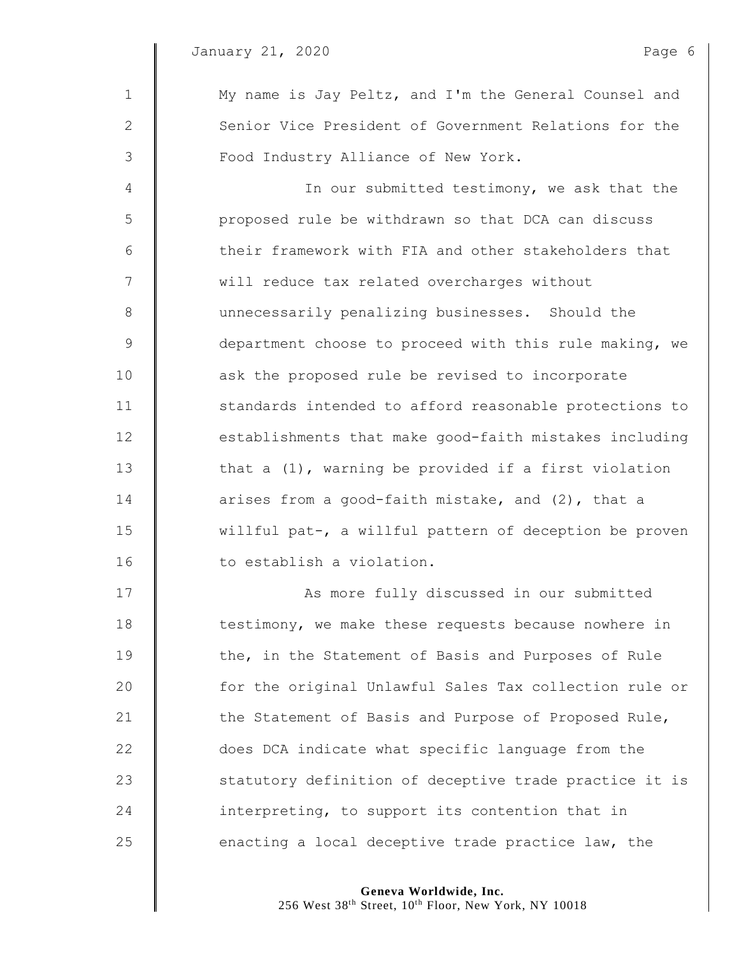| $\mathbf 1$   | My name is Jay Peltz, and I'm the General Counsel and   |
|---------------|---------------------------------------------------------|
| $\mathbf{2}$  | Senior Vice President of Government Relations for the   |
| 3             | Food Industry Alliance of New York.                     |
| 4             | In our submitted testimony, we ask that the             |
| 5             | proposed rule be withdrawn so that DCA can discuss      |
| 6             | their framework with FIA and other stakeholders that    |
| 7             | will reduce tax related overcharges without             |
| $8\,$         | unnecessarily penalizing businesses. Should the         |
| $\mathcal{G}$ | department choose to proceed with this rule making, we  |
| 10            | ask the proposed rule be revised to incorporate         |
| 11            | standards intended to afford reasonable protections to  |
| 12            | establishments that make good-faith mistakes including  |
| 13            | that a $(1)$ , warning be provided if a first violation |
| 14            | arises from a good-faith mistake, and (2), that a       |
| 15            | willful pat-, a willful pattern of deception be proven  |
| 16            | to establish a violation.                               |
| 17            | As more fully discussed in our submitted                |
| 18            | testimony, we make these requests because nowhere in    |
| 19            | the, in the Statement of Basis and Purposes of Rule     |
| 20            | for the original Unlawful Sales Tax collection rule or  |
| 21            | the Statement of Basis and Purpose of Proposed Rule,    |
| 22            | does DCA indicate what specific language from the       |
| 23            | statutory definition of deceptive trade practice it is  |

**interpreting, to support its contention that in** 25  $\parallel$  enacting a local deceptive trade practice law, the

**Geneva Worldwide, Inc.**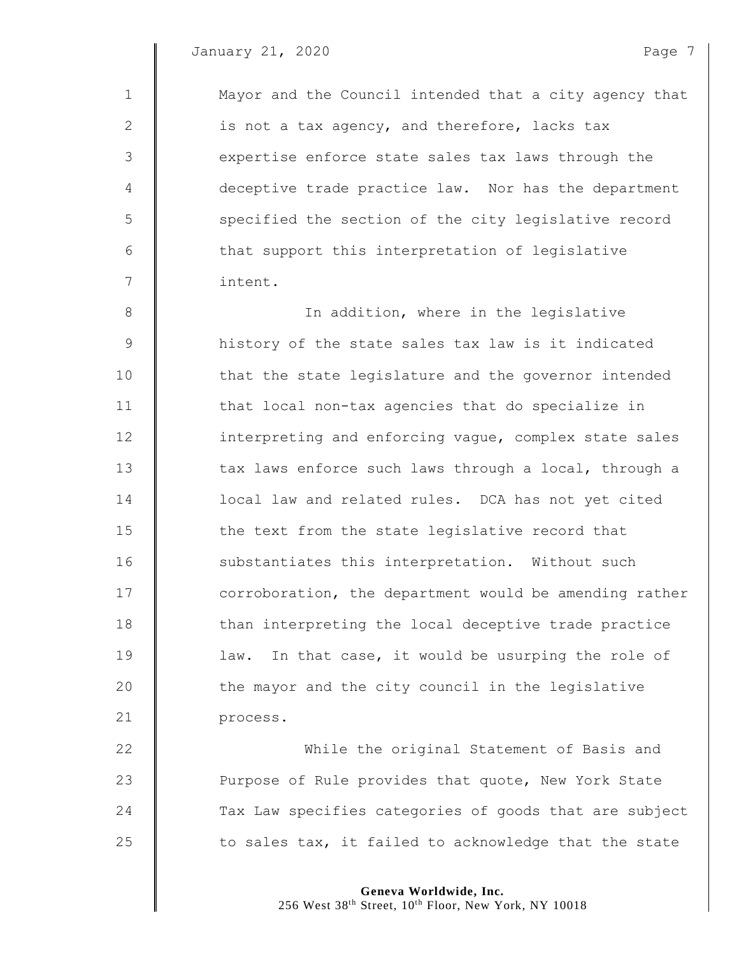1 Mayor and the Council intended that a city agency that 2  $\parallel$  is not a tax agency, and therefore, lacks tax 3 Sexpertise enforce state sales tax laws through the 4 deceptive trade practice law. Nor has the department 5 S specified the section of the city legislative record 6 | that support this interpretation of legislative 7 intent. 8 || In addition, where in the legislative 9 | history of the state sales tax law is it indicated 10 **that the state legislature and the governor intended** 11 | that local non-tax agencies that do specialize in 12 **I** interpreting and enforcing vague, complex state sales 13 tax laws enforce such laws through a local, through a 14 **decal 1 a** local law and related rules. DCA has not yet cited  $15$   $\parallel$  the text from the state legislative record that 16 substantiates this interpretation. Without such 17 **corroboration, the department would be amending rather** 18 | than interpreting the local deceptive trade practice 19 | law. In that case, it would be usurping the role of  $20$   $\parallel$  the mayor and the city council in the legislative 21 **process.** 22 **While the original Statement of Basis and** 23 **Purpose of Rule provides that quote, New York State** 24 Tax Law specifies categories of goods that are subject 25  $\parallel$  to sales tax, it failed to acknowledge that the state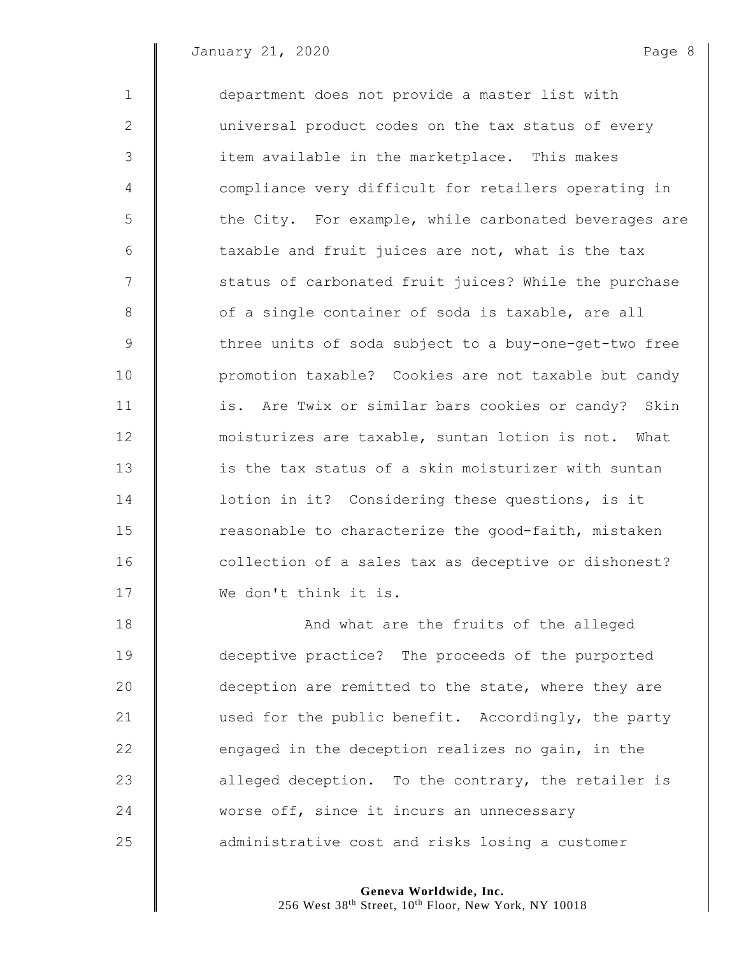| $\mathbf 1$    | department does not provide a master list with        |
|----------------|-------------------------------------------------------|
| 2              | universal product codes on the tax status of every    |
| 3              | item available in the marketplace. This makes         |
| $\overline{4}$ | compliance very difficult for retailers operating in  |
| 5              | the City. For example, while carbonated beverages are |
| 6              | taxable and fruit juices are not, what is the tax     |
| 7              | status of carbonated fruit juices? While the purchase |
| 8              | of a single container of soda is taxable, are all     |
| 9              | three units of soda subject to a buy-one-get-two free |
| 10             | promotion taxable? Cookies are not taxable but candy  |
| 11             | is. Are Twix or similar bars cookies or candy? Skin   |
| 12             | moisturizes are taxable, suntan lotion is not. What   |
| 13             | is the tax status of a skin moisturizer with suntan   |
| 14             | lotion in it? Considering these questions, is it      |
| 15             | reasonable to characterize the good-faith, mistaken   |
| 16             | collection of a sales tax as deceptive or dishonest?  |
| 17             | We don't think it is.                                 |
| 18             | And what are the fruits of the alleged                |
| 19             | deceptive practice? The proceeds of the purported     |
| 20             | deception are remitted to the state, where they are   |

21 used for the public benefit. Accordingly, the party  $\parallel$  engaged in the deception realizes no gain, in the 23  $\parallel$  alleged deception. To the contrary, the retailer is 24 Worse off, since it incurs an unnecessary **administrative cost and risks losing a customer**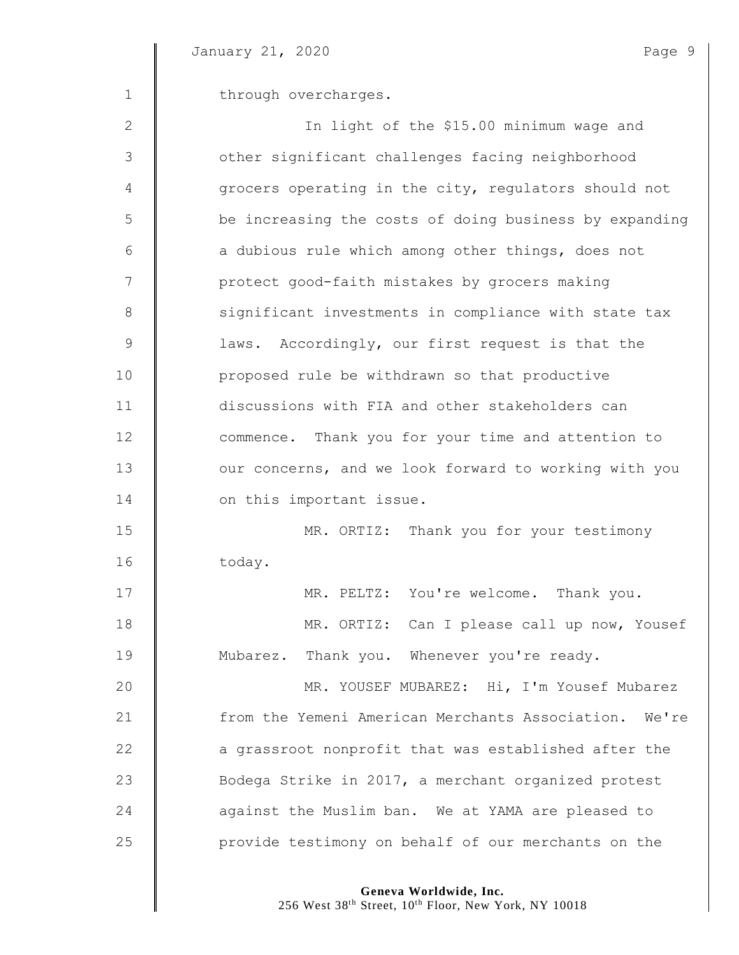$\mathbb I$ 

| $\mathbf 1$    | through overcharges.                                   |
|----------------|--------------------------------------------------------|
| 2              | In light of the \$15.00 minimum wage and               |
| 3              | other significant challenges facing neighborhood       |
| 4              | grocers operating in the city, regulators should not   |
| 5              | be increasing the costs of doing business by expanding |
| 6              | a dubious rule which among other things, does not      |
| $\overline{7}$ | protect good-faith mistakes by grocers making          |
| 8              | significant investments in compliance with state tax   |
| $\mathcal{G}$  | laws. Accordingly, our first request is that the       |
| 10             | proposed rule be withdrawn so that productive          |
| 11             | discussions with FIA and other stakeholders can        |
| 12             | commence. Thank you for your time and attention to     |
| 13             | our concerns, and we look forward to working with you  |
| 14             | on this important issue.                               |
| 15             | MR. ORTIZ: Thank you for your testimony                |
| 16             | today.                                                 |
| 17             | MR. PELTZ: You're welcome. Thank you.                  |
| 18             | MR. ORTIZ: Can I please call up now, Yousef            |
| 19             | Mubarez. Thank you. Whenever you're ready.             |
| 20             | MR. YOUSEF MUBAREZ: Hi, I'm Yousef Mubarez             |
| 21             | from the Yemeni American Merchants Association. We're  |
| 22             | a grassroot nonprofit that was established after the   |
| 23             | Bodega Strike in 2017, a merchant organized protest    |
| 24             | against the Muslim ban. We at YAMA are pleased to      |
| 25             | provide testimony on behalf of our merchants on the    |

**Geneva Worldwide, Inc.**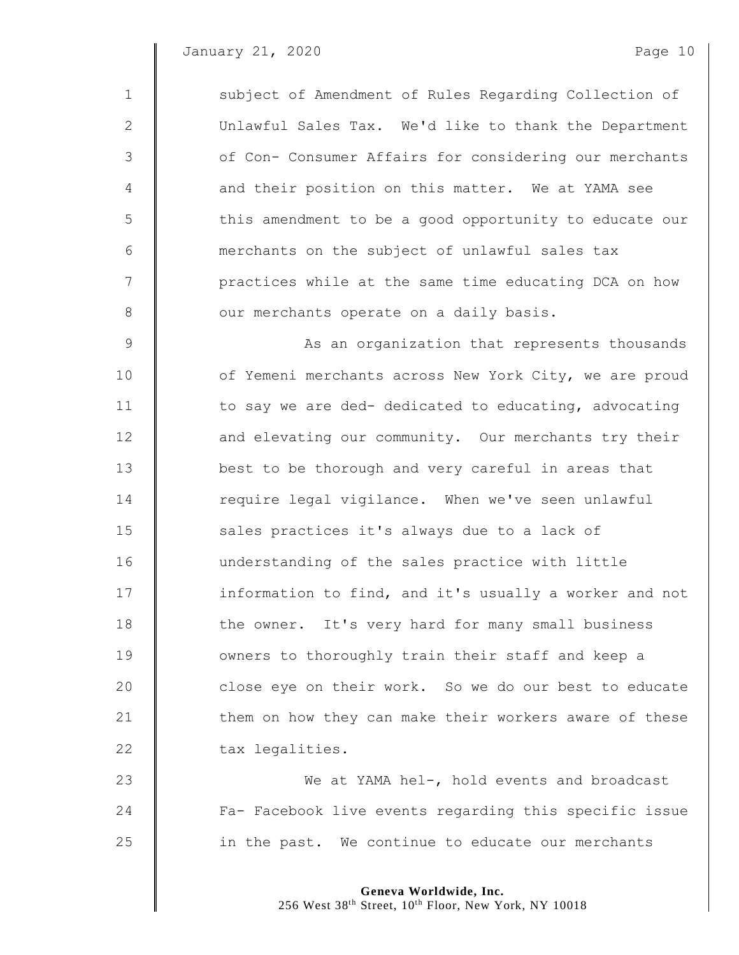| $\mathbf 1$    | subject of Amendment of Rules Regarding Collection of  |
|----------------|--------------------------------------------------------|
| $\mathbf{2}$   | Unlawful Sales Tax. We'd like to thank the Department  |
| $\mathfrak{Z}$ | of Con- Consumer Affairs for considering our merchants |
| 4              | and their position on this matter. We at YAMA see      |
| 5              | this amendment to be a good opportunity to educate our |
| 6              | merchants on the subject of unlawful sales tax         |
| $\overline{7}$ | practices while at the same time educating DCA on how  |
| 8              | our merchants operate on a daily basis.                |
| 9              | As an organization that represents thousands           |
| 10             | of Yemeni merchants across New York City, we are proud |
| 11             | to say we are ded- dedicated to educating, advocating  |
| 12             | and elevating our community. Our merchants try their   |
| 13             | best to be thorough and very careful in areas that     |
| 14             | require legal vigilance. When we've seen unlawful      |
| 15             | sales practices it's always due to a lack of           |
| 16             | understanding of the sales practice with little        |
| 17             | information to find, and it's usually a worker and not |
| 18             | the owner. It's very hard for many small business      |
| 19             | owners to thoroughly train their staff and keep a      |
| 20             | close eye on their work. So we do our best to educate  |
| 21             | them on how they can make their workers aware of these |
| 22             | tax legalities.                                        |
| 23             | We at YAMA hel-, hold events and broadcast             |

24 Fa- Facebook live events regarding this specific issue **in the past.** We continue to educate our merchants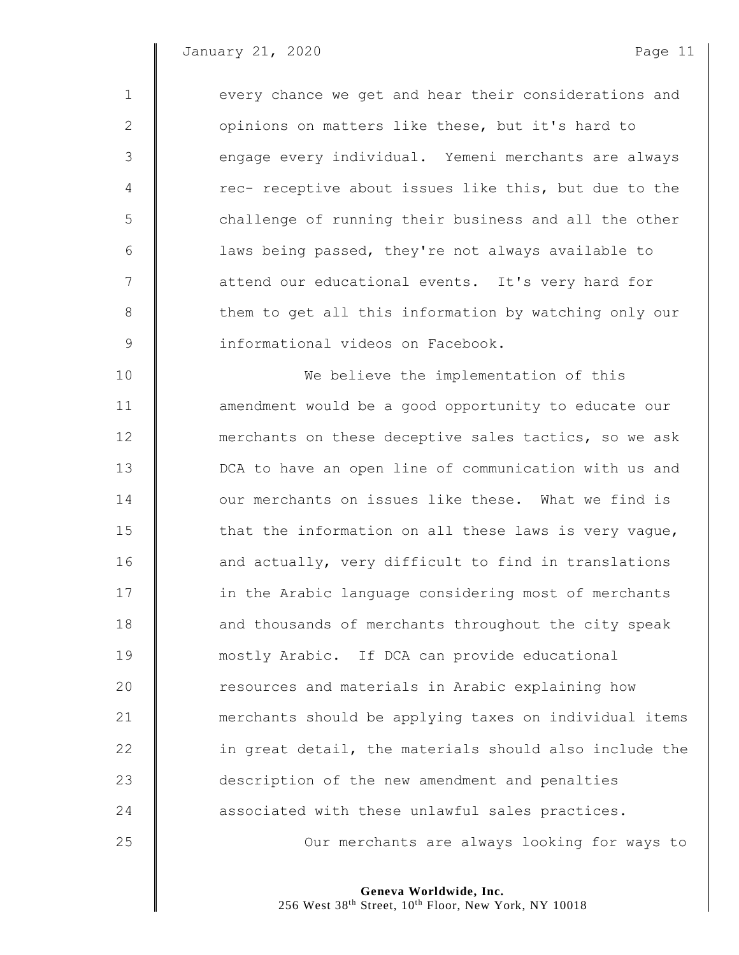| $\mathbf{1}$ | every chance we get and hear their considerations and |
|--------------|-------------------------------------------------------|
| 2            | opinions on matters like these, but it's hard to      |
| 3            | engage every individual. Yemeni merchants are always  |
| 4            | rec- receptive about issues like this, but due to the |
| 5            | challenge of running their business and all the other |
| 6            | laws being passed, they're not always available to    |
| 7            | attend our educational events. It's very hard for     |
| 8            | them to get all this information by watching only our |
| $\mathsf 9$  | informational videos on Facebook.                     |
| 10           | We believe the implementation of this                 |
| 11           | amendment would be a good opportunity to educate our  |
| 12           | merchants on these deceptive sales tactics, so we ask |
| 13           | DCA to have an open line of communication with us and |
| 14           | our merchants on issues like these. What we find is   |
| 15           | that the information on all these laws is very vague, |
| 16           | and actually, very difficult to find in translations  |
| 17           | in the Arabic language considering most of merchants  |
| 18           | and thousands of merchants throughout the city speak  |
| 19           | mostly Arabic. If DCA can provide educational         |
| 20           | resources and materials in Arabic explaining how      |
|              |                                                       |

 merchants should be applying taxes on individual items  $\parallel$  in great detail, the materials should also include the **description of the new amendment and penalties associated with these unlawful sales practices.** 

**C** Our merchants are always looking for ways to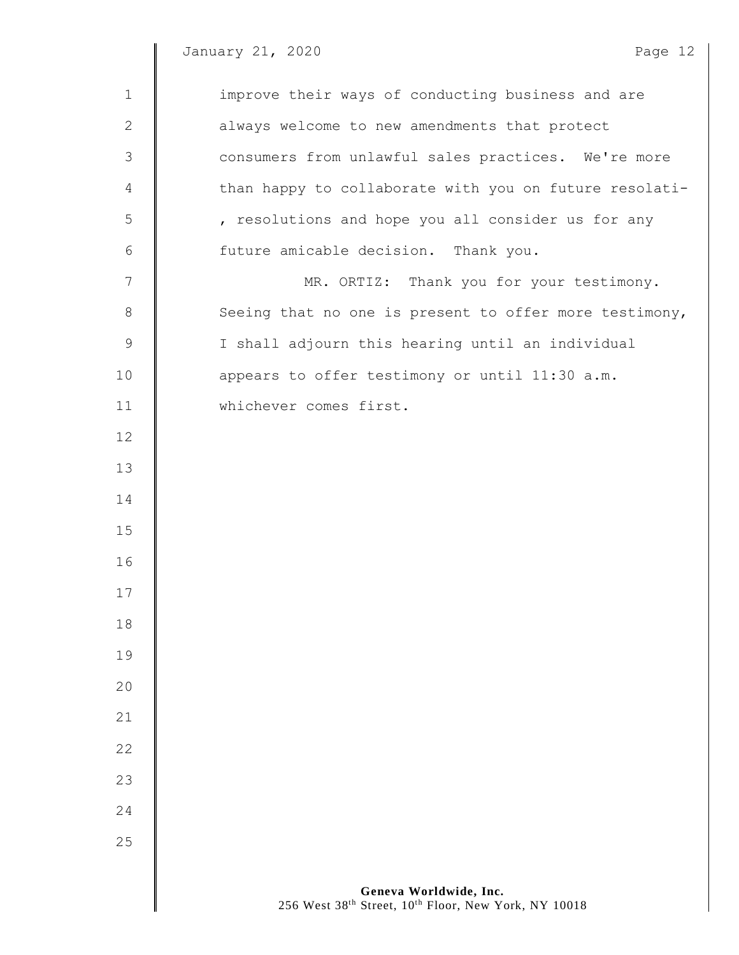$\parallel$ 

| $\mathbf 1$    | improve their ways of conducting business and are      |
|----------------|--------------------------------------------------------|
| $\mathbf{2}$   | always welcome to new amendments that protect          |
| $\mathfrak{Z}$ | consumers from unlawful sales practices. We're more    |
| 4              | than happy to collaborate with you on future resolati- |
| 5              | , resolutions and hope you all consider us for any     |
| 6              | future amicable decision. Thank you.                   |
| 7              | MR. ORTIZ: Thank you for your testimony.               |
| $\,8\,$        | Seeing that no one is present to offer more testimony, |
| $\mathsf 9$    | I shall adjourn this hearing until an individual       |
| 10             | appears to offer testimony or until 11:30 a.m.         |
| 11             | whichever comes first.                                 |
| 12             |                                                        |
| 13             |                                                        |
| 14             |                                                        |
| 15             |                                                        |
| 16             |                                                        |
| 17             |                                                        |
| 18             |                                                        |
| 19             |                                                        |
| 20             |                                                        |
| 21             |                                                        |
| 22             |                                                        |
| 23             |                                                        |
| 24             |                                                        |
| 25             |                                                        |
|                |                                                        |